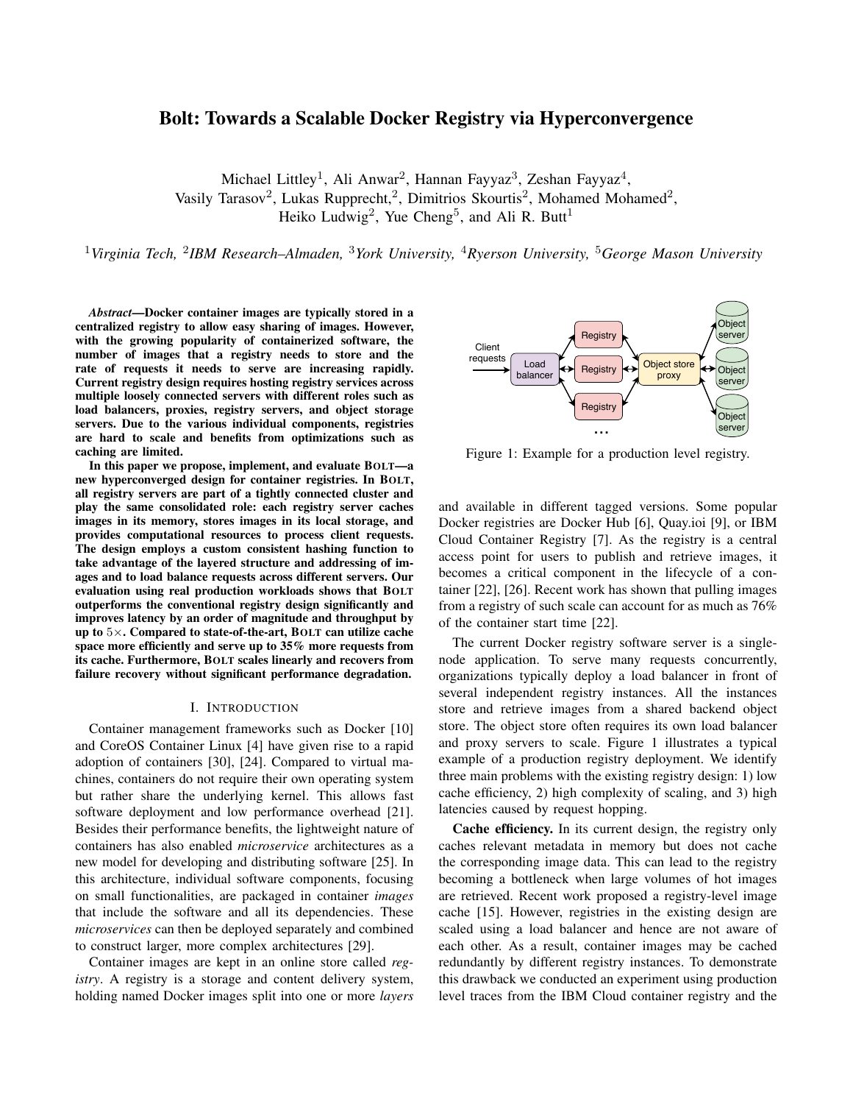# Bolt: Towards a Scalable Docker Registry via Hyperconvergence

Michael Littley<sup>1</sup>, Ali Anwar<sup>2</sup>, Hannan Fayyaz<sup>3</sup>, Zeshan Fayyaz<sup>4</sup>,

Vasily Tarasov<sup>2</sup>, Lukas Rupprecht,<sup>2</sup>, Dimitrios Skourtis<sup>2</sup>, Mohamed Mohamed<sup>2</sup>,

Heiko Ludwig<sup>2</sup>, Yue Cheng<sup>5</sup>, and Ali R. Butt<sup>1</sup>

<sup>1</sup>*Virginia Tech,* <sup>2</sup> *IBM Research–Almaden,* <sup>3</sup>*York University,* <sup>4</sup>*Ryerson University,* <sup>5</sup>*George Mason University*

*Abstract*—Docker container images are typically stored in a centralized registry to allow easy sharing of images. However, with the growing popularity of containerized software, the number of images that a registry needs to store and the rate of requests it needs to serve are increasing rapidly. Current registry design requires hosting registry services across multiple loosely connected servers with different roles such as load balancers, proxies, registry servers, and object storage servers. Due to the various individual components, registries are hard to scale and benefits from optimizations such as caching are limited.

In this paper we propose, implement, and evaluate BOLT—a new hyperconverged design for container registries. In BOLT, all registry servers are part of a tightly connected cluster and play the same consolidated role: each registry server caches images in its memory, stores images in its local storage, and provides computational resources to process client requests. The design employs a custom consistent hashing function to take advantage of the layered structure and addressing of images and to load balance requests across different servers. Our evaluation using real production workloads shows that BOLT outperforms the conventional registry design significantly and improves latency by an order of magnitude and throughput by up to 5×. Compared to state-of-the-art, BOLT can utilize cache space more efficiently and serve up to 35% more requests from its cache. Furthermore, BOLT scales linearly and recovers from failure recovery without significant performance degradation.

#### I. INTRODUCTION

Container management frameworks such as Docker [10] and CoreOS Container Linux [4] have given rise to a rapid adoption of containers [30], [24]. Compared to virtual machines, containers do not require their own operating system but rather share the underlying kernel. This allows fast software deployment and low performance overhead [21]. Besides their performance benefits, the lightweight nature of containers has also enabled *microservice* architectures as a new model for developing and distributing software [25]. In this architecture, individual software components, focusing on small functionalities, are packaged in container *images* that include the software and all its dependencies. These *microservices* can then be deployed separately and combined to construct larger, more complex architectures [29].

Container images are kept in an online store called *registry*. A registry is a storage and content delivery system, holding named Docker images split into one or more *layers*



Figure 1: Example for a production level registry.

and available in different tagged versions. Some popular Docker registries are Docker Hub [6], Quay.ioi [9], or IBM Cloud Container Registry [7]. As the registry is a central access point for users to publish and retrieve images, it becomes a critical component in the lifecycle of a container [22], [26]. Recent work has shown that pulling images from a registry of such scale can account for as much as 76% of the container start time [22].

The current Docker registry software server is a singlenode application. To serve many requests concurrently, organizations typically deploy a load balancer in front of several independent registry instances. All the instances store and retrieve images from a shared backend object store. The object store often requires its own load balancer and proxy servers to scale. Figure 1 illustrates a typical example of a production registry deployment. We identify three main problems with the existing registry design: 1) low cache efficiency, 2) high complexity of scaling, and 3) high latencies caused by request hopping.

Cache efficiency. In its current design, the registry only caches relevant metadata in memory but does not cache the corresponding image data. This can lead to the registry becoming a bottleneck when large volumes of hot images are retrieved. Recent work proposed a registry-level image cache [15]. However, registries in the existing design are scaled using a load balancer and hence are not aware of each other. As a result, container images may be cached redundantly by different registry instances. To demonstrate this drawback we conducted an experiment using production level traces from the IBM Cloud container registry and the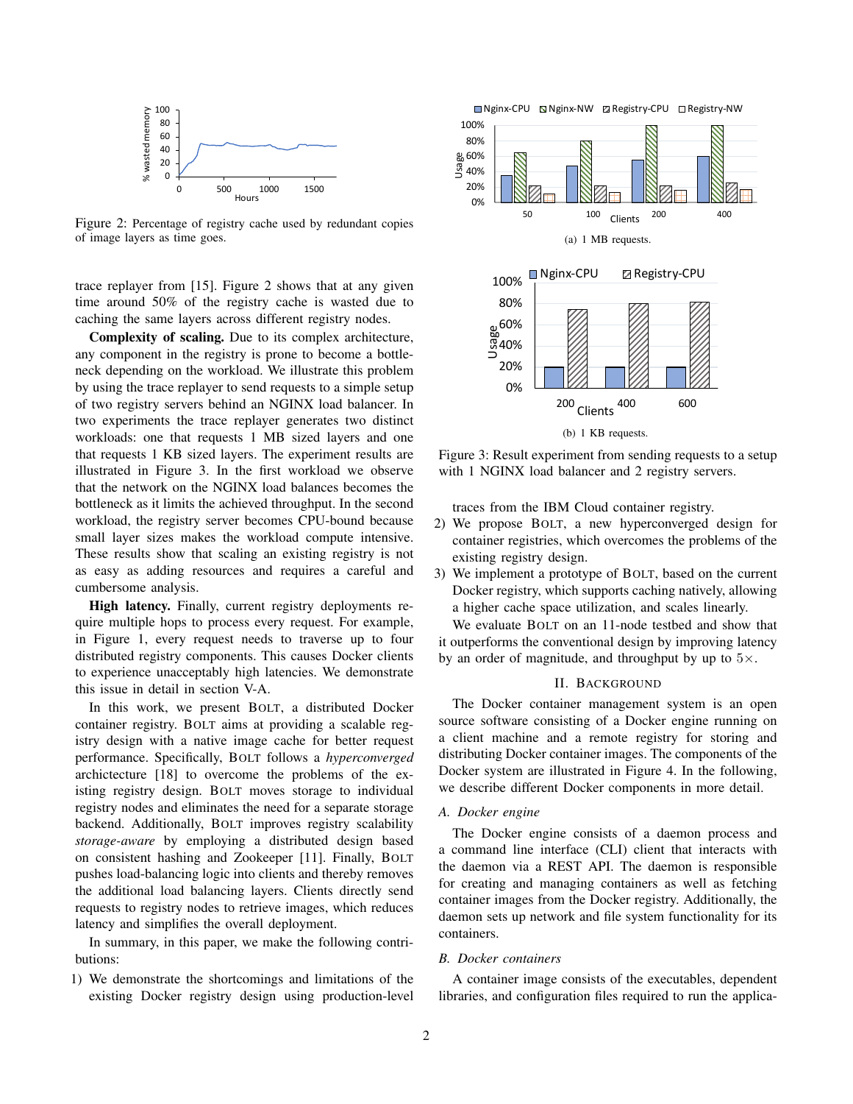

Figure 2: Percentage of registry cache used by redundant copies of image layers as time goes.

trace replayer from [15]. Figure 2 shows that at any given time around 50% of the registry cache is wasted due to caching the same layers across different registry nodes.

Complexity of scaling. Due to its complex architecture, any component in the registry is prone to become a bottleneck depending on the workload. We illustrate this problem by using the trace replayer to send requests to a simple setup of two registry servers behind an NGINX load balancer. In two experiments the trace replayer generates two distinct workloads: one that requests 1 MB sized layers and one that requests 1 KB sized layers. The experiment results are illustrated in Figure 3. In the first workload we observe that the network on the NGINX load balances becomes the bottleneck as it limits the achieved throughput. In the second workload, the registry server becomes CPU-bound because small layer sizes makes the workload compute intensive. These results show that scaling an existing registry is not as easy as adding resources and requires a careful and cumbersome analysis.

High latency. Finally, current registry deployments require multiple hops to process every request. For example, in Figure 1, every request needs to traverse up to four distributed registry components. This causes Docker clients to experience unacceptably high latencies. We demonstrate this issue in detail in section V-A.

In this work, we present BOLT, a distributed Docker container registry. BOLT aims at providing a scalable registry design with a native image cache for better request performance. Specifically, BOLT follows a *hyperconverged* archictecture [18] to overcome the problems of the existing registry design. BOLT moves storage to individual registry nodes and eliminates the need for a separate storage backend. Additionally, BOLT improves registry scalability *storage-aware* by employing a distributed design based on consistent hashing and Zookeeper [11]. Finally, BOLT pushes load-balancing logic into clients and thereby removes the additional load balancing layers. Clients directly send requests to registry nodes to retrieve images, which reduces latency and simplifies the overall deployment.

In summary, in this paper, we make the following contributions:

1) We demonstrate the shortcomings and limitations of the existing Docker registry design using production-level



Figure 3: Result experiment from sending requests to a setup with 1 NGINX load balancer and 2 registry servers.

traces from the IBM Cloud container registry.

- 2) We propose BOLT, a new hyperconverged design for container registries, which overcomes the problems of the existing registry design.
- 3) We implement a prototype of BOLT, based on the current Docker registry, which supports caching natively, allowing a higher cache space utilization, and scales linearly.

We evaluate BOLT on an 11-node testbed and show that it outperforms the conventional design by improving latency by an order of magnitude, and throughput by up to  $5\times$ .

#### II. BACKGROUND

The Docker container management system is an open source software consisting of a Docker engine running on a client machine and a remote registry for storing and distributing Docker container images. The components of the Docker system are illustrated in Figure 4. In the following, we describe different Docker components in more detail.

#### *A. Docker engine*

The Docker engine consists of a daemon process and a command line interface (CLI) client that interacts with the daemon via a REST API. The daemon is responsible for creating and managing containers as well as fetching container images from the Docker registry. Additionally, the daemon sets up network and file system functionality for its containers.

## *B. Docker containers*

A container image consists of the executables, dependent libraries, and configuration files required to run the applica-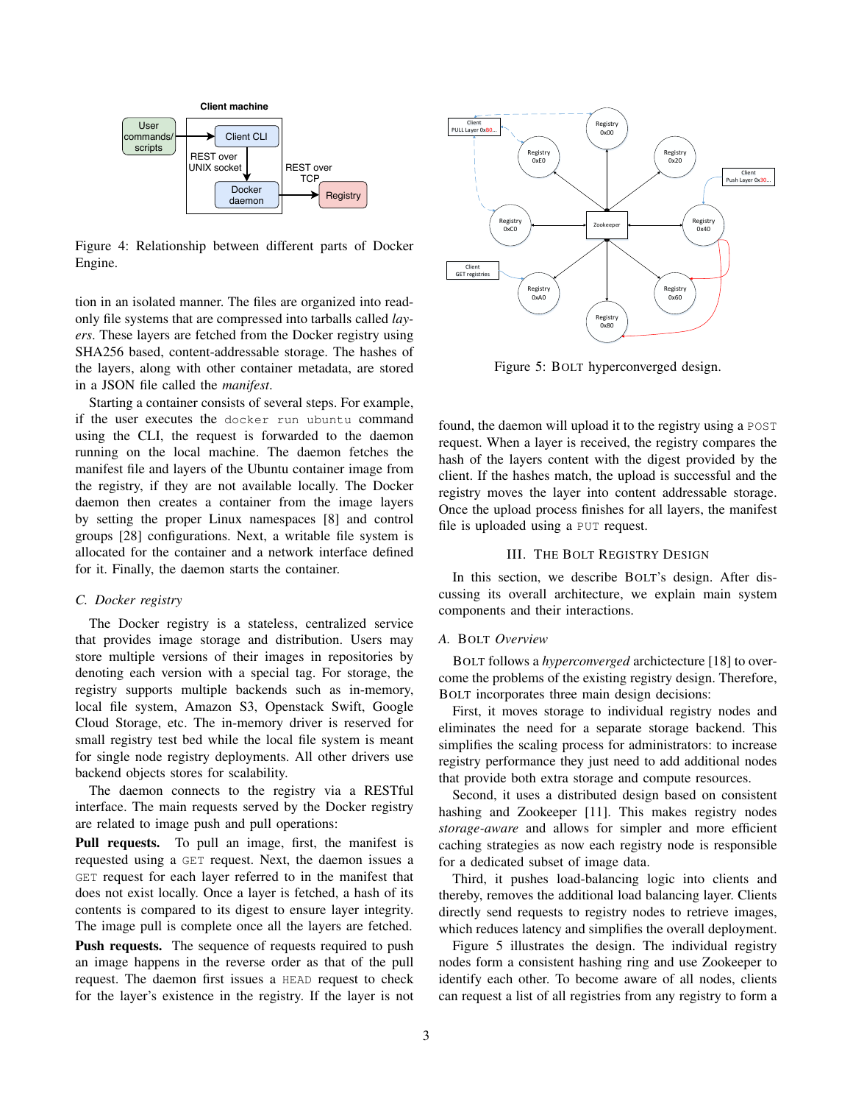

Figure 4: Relationship between different parts of Docker Engine.

tion in an isolated manner. The files are organized into readonly file systems that are compressed into tarballs called *layers*. These layers are fetched from the Docker registry using SHA256 based, content-addressable storage. The hashes of the layers, along with other container metadata, are stored in a JSON file called the *manifest*.

Starting a container consists of several steps. For example, if the user executes the docker run ubuntu command using the CLI, the request is forwarded to the daemon running on the local machine. The daemon fetches the manifest file and layers of the Ubuntu container image from the registry, if they are not available locally. The Docker daemon then creates a container from the image layers by setting the proper Linux namespaces [8] and control groups [28] configurations. Next, a writable file system is allocated for the container and a network interface defined for it. Finally, the daemon starts the container.

# *C. Docker registry*

The Docker registry is a stateless, centralized service that provides image storage and distribution. Users may store multiple versions of their images in repositories by denoting each version with a special tag. For storage, the registry supports multiple backends such as in-memory, local file system, Amazon S3, Openstack Swift, Google Cloud Storage, etc. The in-memory driver is reserved for small registry test bed while the local file system is meant for single node registry deployments. All other drivers use backend objects stores for scalability.

The daemon connects to the registry via a RESTful interface. The main requests served by the Docker registry are related to image push and pull operations:

Pull requests. To pull an image, first, the manifest is requested using a GET request. Next, the daemon issues a GET request for each layer referred to in the manifest that does not exist locally. Once a layer is fetched, a hash of its contents is compared to its digest to ensure layer integrity. The image pull is complete once all the layers are fetched.

Push requests. The sequence of requests required to push an image happens in the reverse order as that of the pull request. The daemon first issues a HEAD request to check for the layer's existence in the registry. If the layer is not



Figure 5: BOLT hyperconverged design.

found, the daemon will upload it to the registry using a POST request. When a layer is received, the registry compares the hash of the layers content with the digest provided by the client. If the hashes match, the upload is successful and the registry moves the layer into content addressable storage. Once the upload process finishes for all layers, the manifest file is uploaded using a PUT request.

#### III. THE BOLT REGISTRY DESIGN

In this section, we describe BOLT's design. After discussing its overall architecture, we explain main system components and their interactions.

#### *A.* BOLT *Overview*

BOLT follows a *hyperconverged* archictecture [18] to overcome the problems of the existing registry design. Therefore, BOLT incorporates three main design decisions:

First, it moves storage to individual registry nodes and eliminates the need for a separate storage backend. This simplifies the scaling process for administrators: to increase registry performance they just need to add additional nodes that provide both extra storage and compute resources.

Second, it uses a distributed design based on consistent hashing and Zookeeper [11]. This makes registry nodes *storage-aware* and allows for simpler and more efficient caching strategies as now each registry node is responsible for a dedicated subset of image data.

Third, it pushes load-balancing logic into clients and thereby, removes the additional load balancing layer. Clients directly send requests to registry nodes to retrieve images, which reduces latency and simplifies the overall deployment.

Figure 5 illustrates the design. The individual registry nodes form a consistent hashing ring and use Zookeeper to identify each other. To become aware of all nodes, clients can request a list of all registries from any registry to form a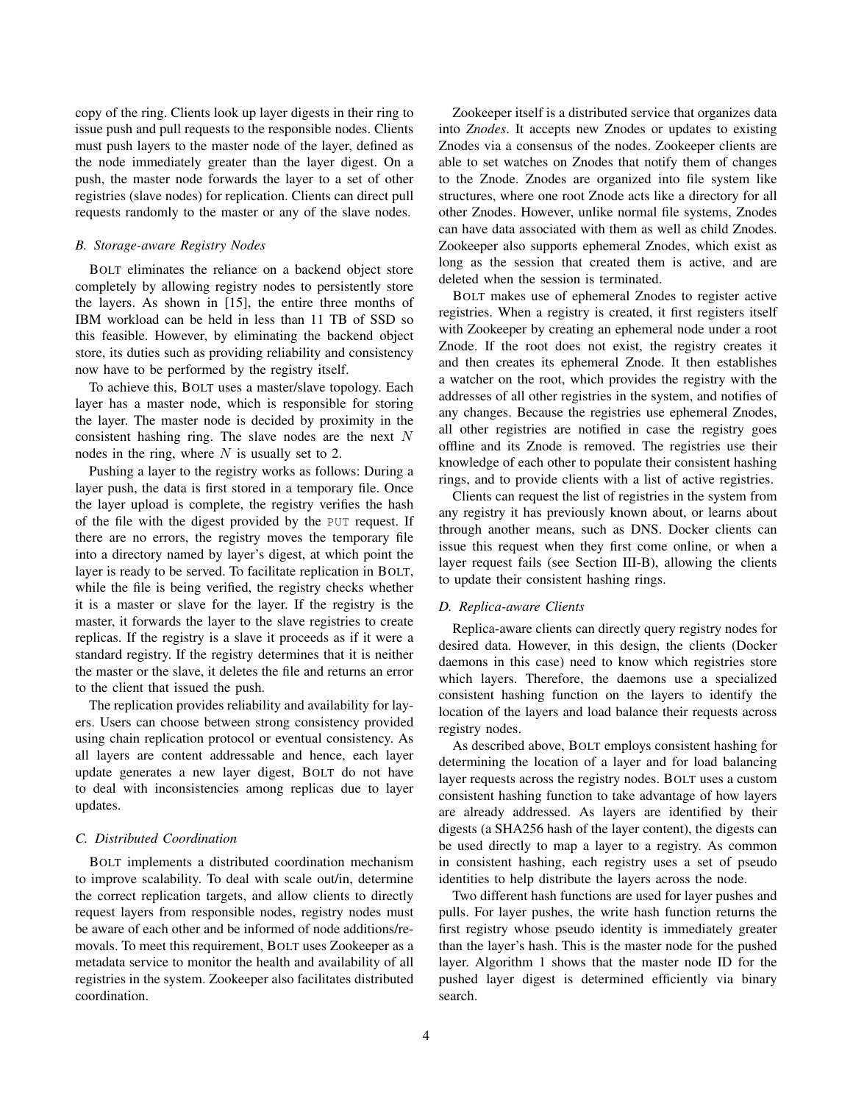copy of the ring. Clients look up layer digests in their ring to issue push and pull requests to the responsible nodes. Clients must push layers to the master node of the layer, defined as the node immediately greater than the layer digest. On a push, the master node forwards the layer to a set of other registries (slave nodes) for replication. Clients can direct pull requests randomly to the master or any of the slave nodes.

# *B. Storage-aware Registry Nodes*

BOLT eliminates the reliance on a backend object store completely by allowing registry nodes to persistently store the layers. As shown in [15], the entire three months of IBM workload can be held in less than 11 TB of SSD so this feasible. However, by eliminating the backend object store, its duties such as providing reliability and consistency now have to be performed by the registry itself.

To achieve this, BOLT uses a master/slave topology. Each layer has a master node, which is responsible for storing the layer. The master node is decided by proximity in the consistent hashing ring. The slave nodes are the next N nodes in the ring, where  $N$  is usually set to 2.

Pushing a layer to the registry works as follows: During a layer push, the data is first stored in a temporary file. Once the layer upload is complete, the registry verifies the hash of the file with the digest provided by the PUT request. If there are no errors, the registry moves the temporary file into a directory named by layer's digest, at which point the layer is ready to be served. To facilitate replication in BOLT, while the file is being verified, the registry checks whether it is a master or slave for the layer. If the registry is the master, it forwards the layer to the slave registries to create replicas. If the registry is a slave it proceeds as if it were a standard registry. If the registry determines that it is neither the master or the slave, it deletes the file and returns an error to the client that issued the push.

The replication provides reliability and availability for layers. Users can choose between strong consistency provided using chain replication protocol or eventual consistency. As all layers are content addressable and hence, each layer update generates a new layer digest, BOLT do not have to deal with inconsistencies among replicas due to layer updates.

## *C. Distributed Coordination*

BOLT implements a distributed coordination mechanism to improve scalability. To deal with scale out/in, determine the correct replication targets, and allow clients to directly request layers from responsible nodes, registry nodes must be aware of each other and be informed of node additions/removals. To meet this requirement, BOLT uses Zookeeper as a metadata service to monitor the health and availability of all registries in the system. Zookeeper also facilitates distributed coordination.

Zookeeper itself is a distributed service that organizes data into *Znodes*. It accepts new Znodes or updates to existing Znodes via a consensus of the nodes. Zookeeper clients are able to set watches on Znodes that notify them of changes to the Znode. Znodes are organized into file system like structures, where one root Znode acts like a directory for all other Znodes. However, unlike normal file systems, Znodes can have data associated with them as well as child Znodes. Zookeeper also supports ephemeral Znodes, which exist as long as the session that created them is active, and are deleted when the session is terminated.

BOLT makes use of ephemeral Znodes to register active registries. When a registry is created, it first registers itself with Zookeeper by creating an ephemeral node under a root Znode. If the root does not exist, the registry creates it and then creates its ephemeral Znode. It then establishes a watcher on the root, which provides the registry with the addresses of all other registries in the system, and notifies of any changes. Because the registries use ephemeral Znodes, all other registries are notified in case the registry goes offline and its Znode is removed. The registries use their knowledge of each other to populate their consistent hashing rings, and to provide clients with a list of active registries.

Clients can request the list of registries in the system from any registry it has previously known about, or learns about through another means, such as DNS. Docker clients can issue this request when they first come online, or when a layer request fails (see Section III-B), allowing the clients to update their consistent hashing rings.

# *D. Replica-aware Clients*

Replica-aware clients can directly query registry nodes for desired data. However, in this design, the clients (Docker daemons in this case) need to know which registries store which layers. Therefore, the daemons use a specialized consistent hashing function on the layers to identify the location of the layers and load balance their requests across registry nodes.

As described above, BOLT employs consistent hashing for determining the location of a layer and for load balancing layer requests across the registry nodes. BOLT uses a custom consistent hashing function to take advantage of how layers are already addressed. As layers are identified by their digests (a SHA256 hash of the layer content), the digests can be used directly to map a layer to a registry. As common in consistent hashing, each registry uses a set of pseudo identities to help distribute the layers across the node.

Two different hash functions are used for layer pushes and pulls. For layer pushes, the write hash function returns the first registry whose pseudo identity is immediately greater than the layer's hash. This is the master node for the pushed layer. Algorithm 1 shows that the master node ID for the pushed layer digest is determined efficiently via binary search.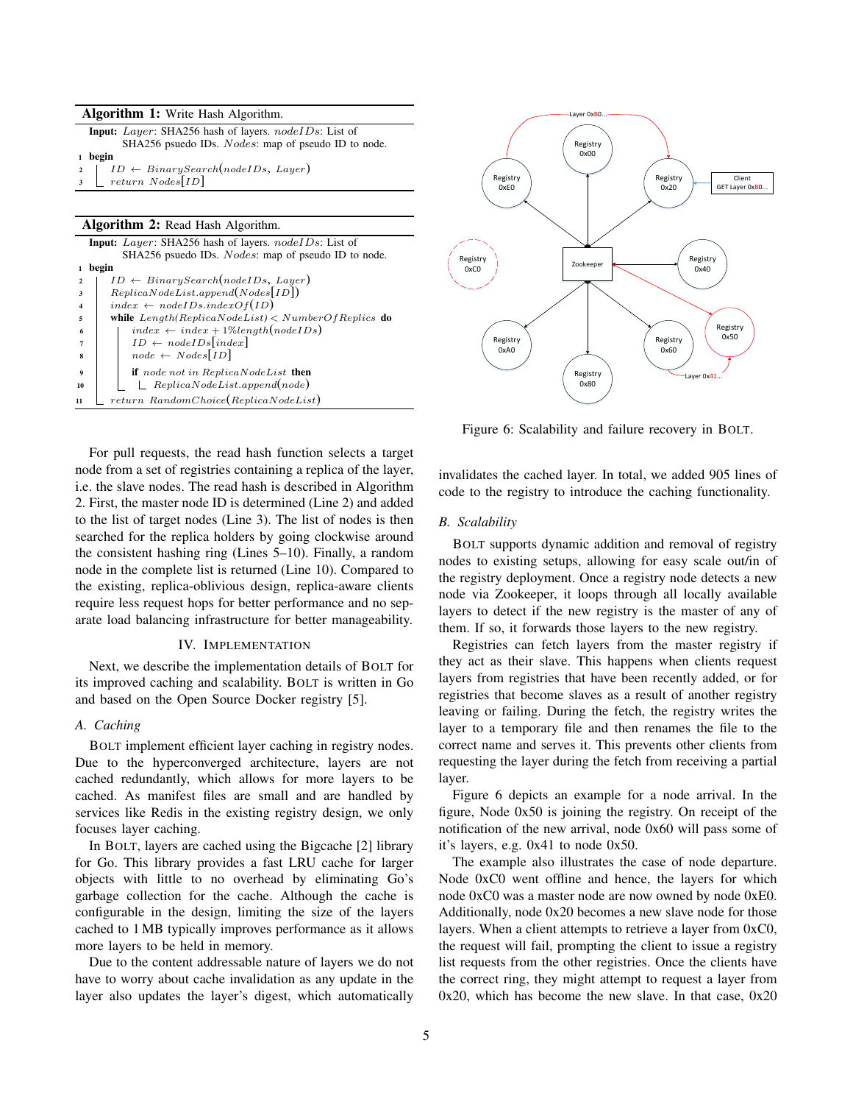#### Algorithm 1: Write Hash Algorithm.

| <b>Input:</b> Layer: SHA256 hash of layers. nodeIDs: List of<br>SHA256 psuedo IDs. Nodes: map of pseudo ID to node. |
|---------------------------------------------------------------------------------------------------------------------|
| 1 begin                                                                                                             |
| 2   $ID \leftarrow BinarySearch(node IDs, Layer)$                                                                   |
| $\begin{array}{c c} \text{3} & \text{return } Nodes[ID] \end{array}$                                                |

Algorithm 2: Read Hash Algorithm.

|                | <b>Input:</b> Layer: SHA256 hash of layers. nodeIDs: List of |
|----------------|--------------------------------------------------------------|
|                | SHA256 psuedo IDs. <i>Nodes</i> : map of pseudo ID to node.  |
|                | begin                                                        |
| $\overline{2}$ | $ID \leftarrow BinarySearch(node IDs, Layer)$                |
| 3              | ReplicaNodeList.append(Nodes[ID])                            |
|                | $index \leftarrow nodeIDs.indexOf(ID)$                       |
| 5              | while $Length(ReplicaNodeList) < NumberOfReplics$ do         |
| 6              | $index \leftarrow index + 1\% length(nodeIDs)$               |
|                | $ID \leftarrow nodeIDs index$                                |
| 8              | $node \leftarrow Nodes[ID]$                                  |
| $\mathbf Q$    | <b>if</b> node not in ReplicaNodeList <b>then</b>            |
| 10             | ReplicaNodeList.append(node)                                 |
| 11             | $return\ Random Choice (ReplicaNodeList)$                    |

For pull requests, the read hash function selects a target node from a set of registries containing a replica of the layer, i.e. the slave nodes. The read hash is described in Algorithm 2. First, the master node ID is determined (Line 2) and added to the list of target nodes (Line 3). The list of nodes is then searched for the replica holders by going clockwise around the consistent hashing ring (Lines 5–10). Finally, a random node in the complete list is returned (Line 10). Compared to the existing, replica-oblivious design, replica-aware clients require less request hops for better performance and no separate load balancing infrastructure for better manageability.

#### IV. IMPLEMENTATION

Next, we describe the implementation details of BOLT for its improved caching and scalability. BOLT is written in Go and based on the Open Source Docker registry [5].

#### *A. Caching*

BOLT implement efficient layer caching in registry nodes. Due to the hyperconverged architecture, layers are not cached redundantly, which allows for more layers to be cached. As manifest files are small and are handled by services like Redis in the existing registry design, we only focuses layer caching.

In BOLT, layers are cached using the Bigcache [2] library for Go. This library provides a fast LRU cache for larger objects with little to no overhead by eliminating Go's garbage collection for the cache. Although the cache is configurable in the design, limiting the size of the layers cached to 1 MB typically improves performance as it allows more layers to be held in memory.

Due to the content addressable nature of layers we do not have to worry about cache invalidation as any update in the layer also updates the layer's digest, which automatically



Figure 6: Scalability and failure recovery in BOLT.

invalidates the cached layer. In total, we added 905 lines of code to the registry to introduce the caching functionality.

#### *B. Scalability*

BOLT supports dynamic addition and removal of registry nodes to existing setups, allowing for easy scale out/in of the registry deployment. Once a registry node detects a new node via Zookeeper, it loops through all locally available layers to detect if the new registry is the master of any of them. If so, it forwards those layers to the new registry.

Registries can fetch layers from the master registry if they act as their slave. This happens when clients request layers from registries that have been recently added, or for registries that become slaves as a result of another registry leaving or failing. During the fetch, the registry writes the layer to a temporary file and then renames the file to the correct name and serves it. This prevents other clients from requesting the layer during the fetch from receiving a partial layer.

Figure 6 depicts an example for a node arrival. In the figure, Node 0x50 is joining the registry. On receipt of the notification of the new arrival, node 0x60 will pass some of it's layers, e.g. 0x41 to node 0x50.

The example also illustrates the case of node departure. Node 0xC0 went offline and hence, the layers for which node 0xC0 was a master node are now owned by node 0xE0. Additionally, node 0x20 becomes a new slave node for those layers. When a client attempts to retrieve a layer from 0xC0, the request will fail, prompting the client to issue a registry list requests from the other registries. Once the clients have the correct ring, they might attempt to request a layer from 0x20, which has become the new slave. In that case, 0x20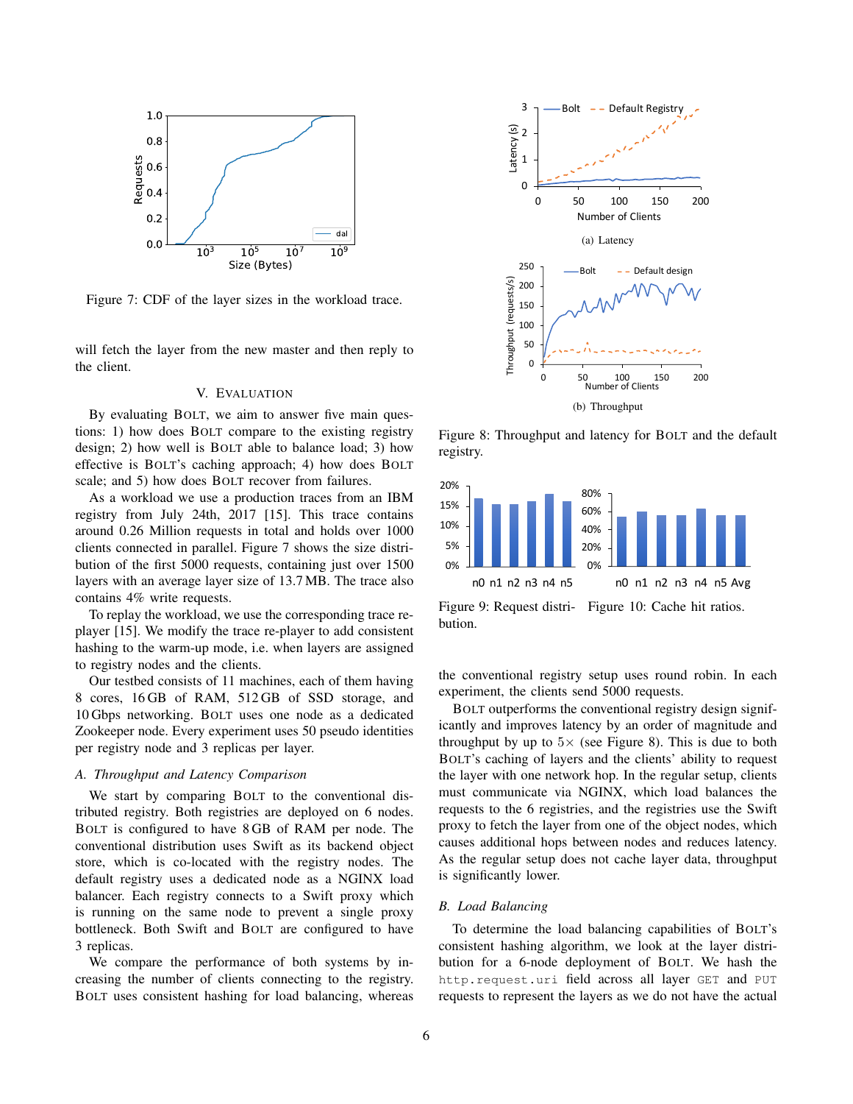

Figure 7: CDF of the layer sizes in the workload trace.

will fetch the layer from the new master and then reply to the client.

#### V. EVALUATION

By evaluating BOLT, we aim to answer five main questions: 1) how does BOLT compare to the existing registry design; 2) how well is BOLT able to balance load; 3) how effective is BOLT's caching approach; 4) how does BOLT scale; and 5) how does BOLT recover from failures.

As a workload we use a production traces from an IBM registry from July 24th, 2017 [15]. This trace contains around 0.26 Million requests in total and holds over 1000 clients connected in parallel. Figure 7 shows the size distribution of the first 5000 requests, containing just over 1500 layers with an average layer size of 13.7 MB. The trace also contains 4% write requests.

To replay the workload, we use the corresponding trace replayer [15]. We modify the trace re-player to add consistent hashing to the warm-up mode, i.e. when layers are assigned to registry nodes and the clients.

Our testbed consists of 11 machines, each of them having 8 cores, 16 GB of RAM, 512 GB of SSD storage, and 10 Gbps networking. BOLT uses one node as a dedicated Zookeeper node. Every experiment uses 50 pseudo identities per registry node and 3 replicas per layer.

# *A. Throughput and Latency Comparison*

We start by comparing BOLT to the conventional distributed registry. Both registries are deployed on 6 nodes. BOLT is configured to have 8 GB of RAM per node. The conventional distribution uses Swift as its backend object store, which is co-located with the registry nodes. The default registry uses a dedicated node as a NGINX load balancer. Each registry connects to a Swift proxy which is running on the same node to prevent a single proxy bottleneck. Both Swift and BOLT are configured to have 3 replicas.

We compare the performance of both systems by increasing the number of clients connecting to the registry. BOLT uses consistent hashing for load balancing, whereas



Figure 8: Throughput and latency for BOLT and the default registry.



Figure 9: Request distri-Figure 10: Cache hit ratios. bution.

the conventional registry setup uses round robin. In each experiment, the clients send 5000 requests.

BOLT outperforms the conventional registry design significantly and improves latency by an order of magnitude and throughput by up to  $5 \times$  (see Figure 8). This is due to both BOLT's caching of layers and the clients' ability to request the layer with one network hop. In the regular setup, clients must communicate via NGINX, which load balances the requests to the 6 registries, and the registries use the Swift proxy to fetch the layer from one of the object nodes, which causes additional hops between nodes and reduces latency. As the regular setup does not cache layer data, throughput is significantly lower.

# *B. Load Balancing*

To determine the load balancing capabilities of BOLT's consistent hashing algorithm, we look at the layer distribution for a 6-node deployment of BOLT. We hash the http.request.uri field across all layer GET and PUT requests to represent the layers as we do not have the actual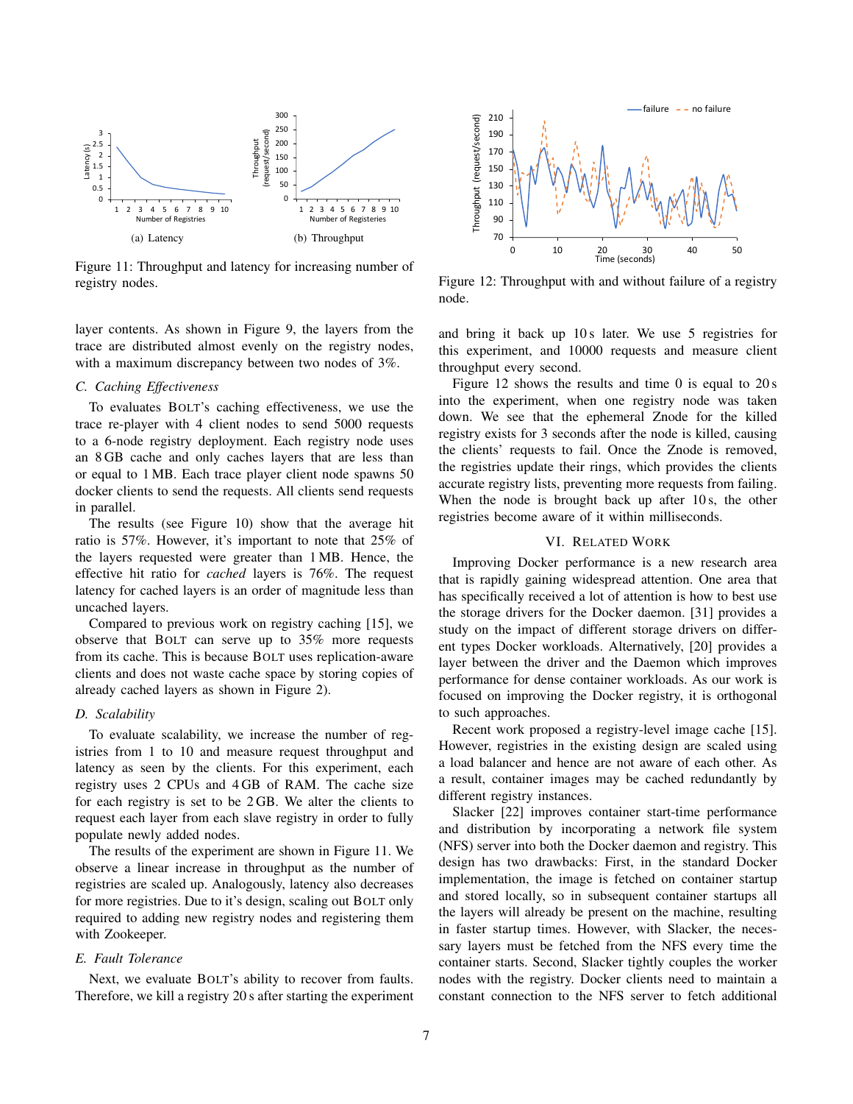

Figure 11: Throughput and latency for increasing number of registry nodes.

layer contents. As shown in Figure 9, the layers from the trace are distributed almost evenly on the registry nodes, with a maximum discrepancy between two nodes of 3%.

# *C. Caching Effectiveness*

To evaluates BOLT's caching effectiveness, we use the trace re-player with 4 client nodes to send 5000 requests to a 6-node registry deployment. Each registry node uses an 8 GB cache and only caches layers that are less than or equal to 1 MB. Each trace player client node spawns 50 docker clients to send the requests. All clients send requests in parallel.

The results (see Figure 10) show that the average hit ratio is 57%. However, it's important to note that 25% of the layers requested were greater than 1 MB. Hence, the effective hit ratio for *cached* layers is 76%. The request latency for cached layers is an order of magnitude less than uncached layers.

Compared to previous work on registry caching [15], we observe that BOLT can serve up to 35% more requests from its cache. This is because BOLT uses replication-aware clients and does not waste cache space by storing copies of already cached layers as shown in Figure 2).

# *D. Scalability*

To evaluate scalability, we increase the number of registries from 1 to 10 and measure request throughput and latency as seen by the clients. For this experiment, each registry uses 2 CPUs and 4 GB of RAM. The cache size for each registry is set to be 2 GB. We alter the clients to request each layer from each slave registry in order to fully populate newly added nodes.

The results of the experiment are shown in Figure 11. We observe a linear increase in throughput as the number of registries are scaled up. Analogously, latency also decreases for more registries. Due to it's design, scaling out BOLT only required to adding new registry nodes and registering them with Zookeeper.

## *E. Fault Tolerance*

Next, we evaluate BOLT's ability to recover from faults. Therefore, we kill a registry 20 s after starting the experiment



Figure 12: Throughput with and without failure of a registry node.

and bring it back up 10s later. We use 5 registries for this experiment, and 10000 requests and measure client throughput every second.

Figure 12 shows the results and time 0 is equal to  $20 \text{ s}$ into the experiment, when one registry node was taken down. We see that the ephemeral Znode for the killed registry exists for 3 seconds after the node is killed, causing the clients' requests to fail. Once the Znode is removed, the registries update their rings, which provides the clients accurate registry lists, preventing more requests from failing. When the node is brought back up after 10 s, the other registries become aware of it within milliseconds.

## VI. RELATED WORK

Improving Docker performance is a new research area that is rapidly gaining widespread attention. One area that has specifically received a lot of attention is how to best use the storage drivers for the Docker daemon. [31] provides a study on the impact of different storage drivers on different types Docker workloads. Alternatively, [20] provides a layer between the driver and the Daemon which improves performance for dense container workloads. As our work is focused on improving the Docker registry, it is orthogonal to such approaches.

Recent work proposed a registry-level image cache [15]. However, registries in the existing design are scaled using a load balancer and hence are not aware of each other. As a result, container images may be cached redundantly by different registry instances.

Slacker [22] improves container start-time performance and distribution by incorporating a network file system (NFS) server into both the Docker daemon and registry. This design has two drawbacks: First, in the standard Docker implementation, the image is fetched on container startup and stored locally, so in subsequent container startups all the layers will already be present on the machine, resulting in faster startup times. However, with Slacker, the necessary layers must be fetched from the NFS every time the container starts. Second, Slacker tightly couples the worker nodes with the registry. Docker clients need to maintain a constant connection to the NFS server to fetch additional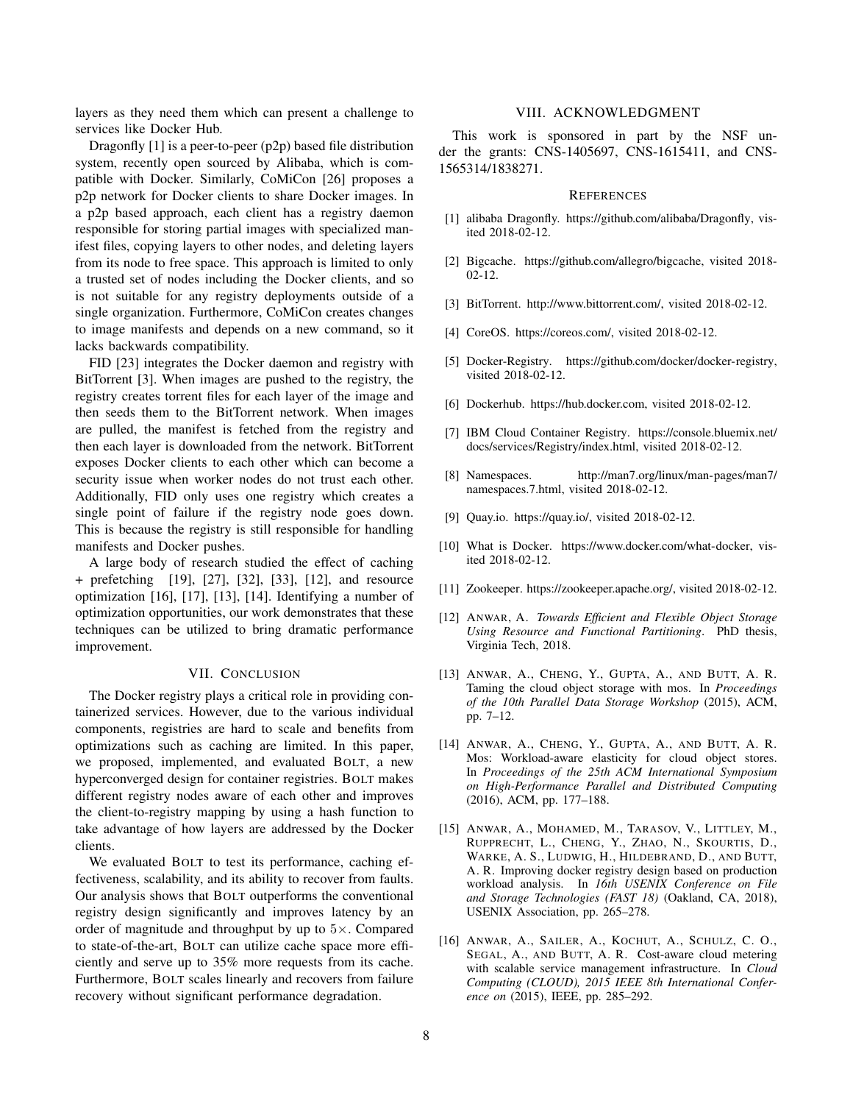layers as they need them which can present a challenge to services like Docker Hub.

Dragonfly [1] is a peer-to-peer (p2p) based file distribution system, recently open sourced by Alibaba, which is compatible with Docker. Similarly, CoMiCon [26] proposes a p2p network for Docker clients to share Docker images. In a p2p based approach, each client has a registry daemon responsible for storing partial images with specialized manifest files, copying layers to other nodes, and deleting layers from its node to free space. This approach is limited to only a trusted set of nodes including the Docker clients, and so is not suitable for any registry deployments outside of a single organization. Furthermore, CoMiCon creates changes to image manifests and depends on a new command, so it lacks backwards compatibility.

FID [23] integrates the Docker daemon and registry with BitTorrent [3]. When images are pushed to the registry, the registry creates torrent files for each layer of the image and then seeds them to the BitTorrent network. When images are pulled, the manifest is fetched from the registry and then each layer is downloaded from the network. BitTorrent exposes Docker clients to each other which can become a security issue when worker nodes do not trust each other. Additionally, FID only uses one registry which creates a single point of failure if the registry node goes down. This is because the registry is still responsible for handling manifests and Docker pushes.

A large body of research studied the effect of caching + prefetching [19], [27], [32], [33], [12], and resource optimization [16], [17], [13], [14]. Identifying a number of optimization opportunities, our work demonstrates that these techniques can be utilized to bring dramatic performance improvement.

# VII. CONCLUSION

The Docker registry plays a critical role in providing containerized services. However, due to the various individual components, registries are hard to scale and benefits from optimizations such as caching are limited. In this paper, we proposed, implemented, and evaluated BOLT, a new hyperconverged design for container registries. BOLT makes different registry nodes aware of each other and improves the client-to-registry mapping by using a hash function to take advantage of how layers are addressed by the Docker clients.

We evaluated BOLT to test its performance, caching effectiveness, scalability, and its ability to recover from faults. Our analysis shows that BOLT outperforms the conventional registry design significantly and improves latency by an order of magnitude and throughput by up to 5×. Compared to state-of-the-art, BOLT can utilize cache space more efficiently and serve up to 35% more requests from its cache. Furthermore, BOLT scales linearly and recovers from failure recovery without significant performance degradation.

#### VIII. ACKNOWLEDGMENT

This work is sponsored in part by the NSF under the grants: CNS-1405697, CNS-1615411, and CNS-1565314/1838271.

#### **REFERENCES**

- [1] alibaba Dragonfly. https://github.com/alibaba/Dragonfly, visited 2018-02-12.
- [2] Bigcache. https://github.com/allegro/bigcache, visited 2018- 02-12.
- [3] BitTorrent. http://www.bittorrent.com/, visited 2018-02-12.
- [4] CoreOS. https://coreos.com/, visited 2018-02-12.
- [5] Docker-Registry. https://github.com/docker/docker-registry, visited 2018-02-12.
- [6] Dockerhub. https://hub.docker.com, visited 2018-02-12.
- [7] IBM Cloud Container Registry. https://console.bluemix.net/ docs/services/Registry/index.html, visited 2018-02-12.
- [8] Namespaces. http://man7.org/linux/man-pages/man7/ namespaces.7.html, visited 2018-02-12.
- [9] Quay.io. https://quay.io/, visited 2018-02-12.
- [10] What is Docker. https://www.docker.com/what-docker, visited 2018-02-12.
- [11] Zookeeper. https://zookeeper.apache.org/, visited 2018-02-12.
- [12] ANWAR, A. *Towards Efficient and Flexible Object Storage Using Resource and Functional Partitioning*. PhD thesis, Virginia Tech, 2018.
- [13] ANWAR, A., CHENG, Y., GUPTA, A., AND BUTT, A. R. Taming the cloud object storage with mos. In *Proceedings of the 10th Parallel Data Storage Workshop* (2015), ACM, pp. 7–12.
- [14] ANWAR, A., CHENG, Y., GUPTA, A., AND BUTT, A. R. Mos: Workload-aware elasticity for cloud object stores. In *Proceedings of the 25th ACM International Symposium on High-Performance Parallel and Distributed Computing* (2016), ACM, pp. 177–188.
- [15] ANWAR, A., MOHAMED, M., TARASOV, V., LITTLEY, M., RUPPRECHT, L., CHENG, Y., ZHAO, N., SKOURTIS, D., WARKE, A. S., LUDWIG, H., HILDEBRAND, D., AND BUTT, A. R. Improving docker registry design based on production workload analysis. In *16th USENIX Conference on File and Storage Technologies (FAST 18)* (Oakland, CA, 2018), USENIX Association, pp. 265–278.
- [16] ANWAR, A., SAILER, A., KOCHUT, A., SCHULZ, C. O., SEGAL, A., AND BUTT, A. R. Cost-aware cloud metering with scalable service management infrastructure. In *Cloud Computing (CLOUD), 2015 IEEE 8th International Conference on* (2015), IEEE, pp. 285–292.